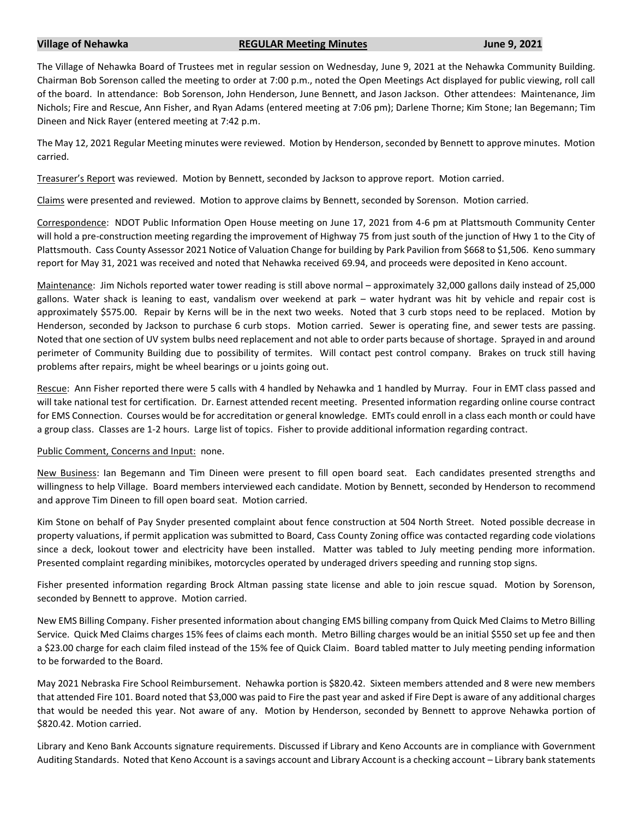## **Village of Nehawka REGULAR Meeting Minutes June 9, 2021**

The Village of Nehawka Board of Trustees met in regular session on Wednesday, June 9, 2021 at the Nehawka Community Building. Chairman Bob Sorenson called the meeting to order at 7:00 p.m., noted the Open Meetings Act displayed for public viewing, roll call of the board. In attendance: Bob Sorenson, John Henderson, June Bennett, and Jason Jackson. Other attendees: Maintenance, Jim Nichols; Fire and Rescue, Ann Fisher, and Ryan Adams (entered meeting at 7:06 pm); Darlene Thorne; Kim Stone; Ian Begemann; Tim Dineen and Nick Rayer (entered meeting at 7:42 p.m.

The May 12, 2021 Regular Meeting minutes were reviewed. Motion by Henderson, seconded by Bennett to approve minutes. Motion carried.

Treasurer's Report was reviewed. Motion by Bennett, seconded by Jackson to approve report. Motion carried.

Claims were presented and reviewed. Motion to approve claims by Bennett, seconded by Sorenson. Motion carried.

Correspondence: NDOT Public Information Open House meeting on June 17, 2021 from 4-6 pm at Plattsmouth Community Center will hold a pre-construction meeting regarding the improvement of Highway 75 from just south of the junction of Hwy 1 to the City of Plattsmouth. Cass County Assessor 2021 Notice of Valuation Change for building by Park Pavilion from \$668 to \$1,506. Keno summary report for May 31, 2021 was received and noted that Nehawka received 69.94, and proceeds were deposited in Keno account.

Maintenance: Jim Nichols reported water tower reading is still above normal – approximately 32,000 gallons daily instead of 25,000 gallons. Water shack is leaning to east, vandalism over weekend at park – water hydrant was hit by vehicle and repair cost is approximately \$575.00. Repair by Kerns will be in the next two weeks. Noted that 3 curb stops need to be replaced. Motion by Henderson, seconded by Jackson to purchase 6 curb stops. Motion carried. Sewer is operating fine, and sewer tests are passing. Noted that one section of UV system bulbs need replacement and not able to order parts because of shortage. Sprayed in and around perimeter of Community Building due to possibility of termites. Will contact pest control company. Brakes on truck still having problems after repairs, might be wheel bearings or u joints going out.

Rescue: Ann Fisher reported there were 5 calls with 4 handled by Nehawka and 1 handled by Murray. Four in EMT class passed and will take national test for certification. Dr. Earnest attended recent meeting. Presented information regarding online course contract for EMS Connection. Courses would be for accreditation or general knowledge. EMTs could enroll in a class each month or could have a group class. Classes are 1-2 hours. Large list of topics. Fisher to provide additional information regarding contract.

## Public Comment, Concerns and Input: none.

New Business: Ian Begemann and Tim Dineen were present to fill open board seat. Each candidates presented strengths and willingness to help Village. Board members interviewed each candidate. Motion by Bennett, seconded by Henderson to recommend and approve Tim Dineen to fill open board seat. Motion carried.

Kim Stone on behalf of Pay Snyder presented complaint about fence construction at 504 North Street. Noted possible decrease in property valuations, if permit application was submitted to Board, Cass County Zoning office was contacted regarding code violations since a deck, lookout tower and electricity have been installed. Matter was tabled to July meeting pending more information. Presented complaint regarding minibikes, motorcycles operated by underaged drivers speeding and running stop signs.

Fisher presented information regarding Brock Altman passing state license and able to join rescue squad. Motion by Sorenson, seconded by Bennett to approve. Motion carried.

New EMS Billing Company. Fisher presented information about changing EMS billing company from Quick Med Claims to Metro Billing Service. Quick Med Claims charges 15% fees of claims each month. Metro Billing charges would be an initial \$550 set up fee and then a \$23.00 charge for each claim filed instead of the 15% fee of Quick Claim. Board tabled matter to July meeting pending information to be forwarded to the Board.

May 2021 Nebraska Fire School Reimbursement. Nehawka portion is \$820.42. Sixteen members attended and 8 were new members that attended Fire 101. Board noted that \$3,000 was paid to Fire the past year and asked if Fire Dept is aware of any additional charges that would be needed this year. Not aware of any. Motion by Henderson, seconded by Bennett to approve Nehawka portion of \$820.42. Motion carried.

Library and Keno Bank Accounts signature requirements. Discussed if Library and Keno Accounts are in compliance with Government Auditing Standards. Noted that Keno Account is a savings account and Library Account is a checking account – Library bank statements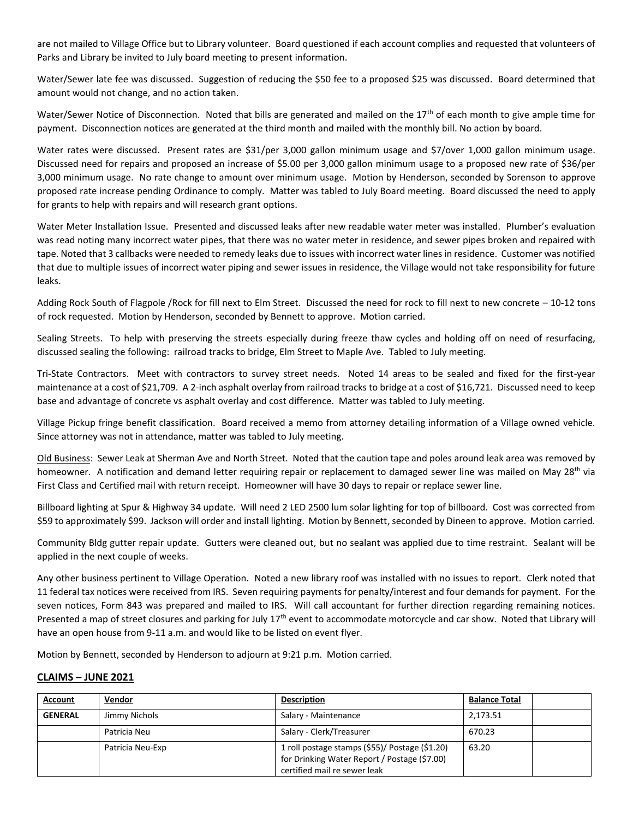are not mailed to Village Office but to Library volunteer. Board questioned if each account complies and requested that volunteers of Parks and Library be invited to July board meeting to present information.

Water/Sewer late fee was discussed. Suggestion of reducing the \$50 fee to a proposed \$25 was discussed. Board determined that amount would not change, and no action taken.

Water/Sewer Notice of Disconnection. Noted that bills are generated and mailed on the 17<sup>th</sup> of each month to give ample time for payment. Disconnection notices are generated at the third month and mailed with the monthly bill. No action by board.

Water rates were discussed. Present rates are \$31/per 3,000 gallon minimum usage and \$7/over 1,000 gallon minimum usage. Discussed need for repairs and proposed an increase of \$5.00 per 3,000 gallon minimum usage to a proposed new rate of \$36/per 3,000 minimum usage. No rate change to amount over minimum usage. Motion by Henderson, seconded by Sorenson to approve proposed rate increase pending Ordinance to comply. Matter was tabled to July Board meeting. Board discussed the need to apply for grants to help with repairs and will research grant options.

Water Meter Installation Issue. Presented and discussed leaks after new readable water meter was installed. Plumber's evaluation was read noting many incorrect water pipes, that there was no water meter in residence, and sewer pipes broken and repaired with tape. Noted that 3 callbacks were needed to remedy leaks due to issues with incorrect water lines in residence. Customer was notified that due to multiple issues of incorrect water piping and sewer issues in residence, the Village would not take responsibility for future leaks.

Adding Rock South of Flagpole /Rock for fill next to Elm Street. Discussed the need for rock to fill next to new concrete – 10-12 tons of rock requested. Motion by Henderson, seconded by Bennett to approve. Motion carried.

Sealing Streets. To help with preserving the streets especially during freeze thaw cycles and holding off on need of resurfacing, discussed sealing the following: railroad tracks to bridge, Elm Street to Maple Ave. Tabled to July meeting.

Tri-State Contractors. Meet with contractors to survey street needs. Noted 14 areas to be sealed and fixed for the first-year maintenance at a cost of \$21,709. A 2-inch asphalt overlay from railroad tracks to bridge at a cost of \$16,721. Discussed need to keep base and advantage of concrete vs asphalt overlay and cost difference. Matter was tabled to July meeting.

Village Pickup fringe benefit classification. Board received a memo from attorney detailing information of a Village owned vehicle. Since attorney was not in attendance, matter was tabled to July meeting.

Old Business: Sewer Leak at Sherman Ave and North Street. Noted that the caution tape and poles around leak area was removed by homeowner. A notification and demand letter requiring repair or replacement to damaged sewer line was mailed on May 28<sup>th</sup> via First Class and Certified mail with return receipt. Homeowner will have 30 days to repair or replace sewer line.

Billboard lighting at Spur & Highway 34 update. Will need 2 LED 2500 lum solar lighting for top of billboard. Cost was corrected from \$59 to approximately \$99. Jackson will order and install lighting. Motion by Bennett, seconded by Dineen to approve. Motion carried.

Community Bldg gutter repair update. Gutters were cleaned out, but no sealant was applied due to time restraint. Sealant will be applied in the next couple of weeks.

Any other business pertinent to Village Operation. Noted a new library roof was installed with no issues to report. Clerk noted that 11 federal tax notices were received from IRS. Seven requiring payments for penalty/interest and four demands for payment. For the seven notices, Form 843 was prepared and mailed to IRS. Will call accountant for further direction regarding remaining notices. Presented a map of street closures and parking for July 17<sup>th</sup> event to accommodate motorcycle and car show. Noted that Library will have an open house from 9-11 a.m. and would like to be listed on event flyer.

Motion by Bennett, seconded by Henderson to adjourn at 9:21 p.m. Motion carried.

## **CLAIMS – JUNE 2021**

| Account        | Vendor           | <b>Description</b>                                                                                                             | <b>Balance Total</b> |
|----------------|------------------|--------------------------------------------------------------------------------------------------------------------------------|----------------------|
| <b>GENERAL</b> | Jimmy Nichols    | Salary - Maintenance                                                                                                           | 2,173.51             |
|                | Patricia Neu     | Salary - Clerk/Treasurer                                                                                                       | 670.23               |
|                | Patricia Neu-Exp | 1 roll postage stamps (\$55)/ Postage (\$1.20)<br>for Drinking Water Report / Postage (\$7.00)<br>certified mail re sewer leak | 63.20                |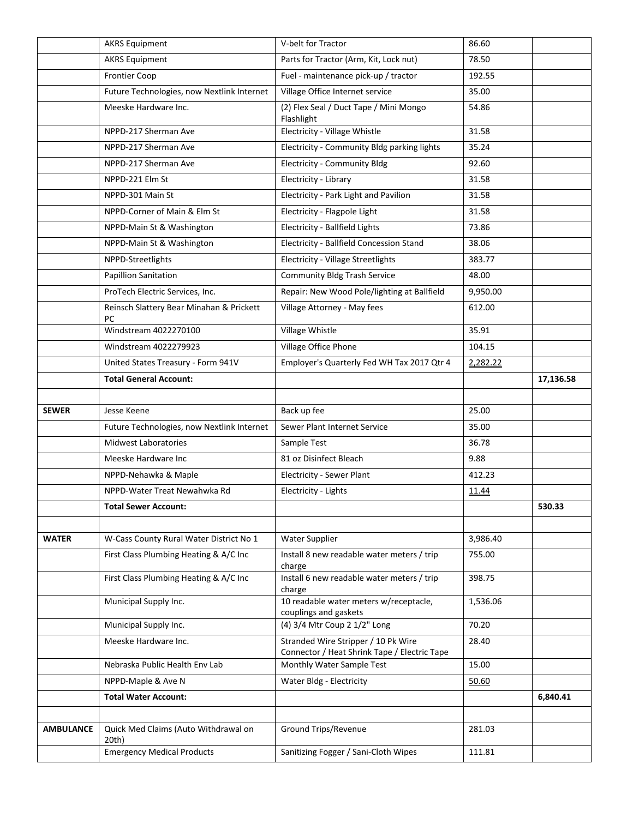|                  | <b>AKRS Equipment</b>                          | V-belt for Tractor                                                                  | 86.60    |           |
|------------------|------------------------------------------------|-------------------------------------------------------------------------------------|----------|-----------|
|                  | <b>AKRS Equipment</b>                          | Parts for Tractor (Arm, Kit, Lock nut)                                              | 78.50    |           |
|                  | <b>Frontier Coop</b>                           | Fuel - maintenance pick-up / tractor                                                | 192.55   |           |
|                  | Future Technologies, now Nextlink Internet     | Village Office Internet service                                                     | 35.00    |           |
|                  | Meeske Hardware Inc.                           | (2) Flex Seal / Duct Tape / Mini Mongo<br>Flashlight                                | 54.86    |           |
|                  | NPPD-217 Sherman Ave                           | Electricity - Village Whistle                                                       | 31.58    |           |
|                  | NPPD-217 Sherman Ave                           | Electricity - Community Bldg parking lights                                         | 35.24    |           |
|                  | NPPD-217 Sherman Ave                           | Electricity - Community Bldg                                                        | 92.60    |           |
|                  | NPPD-221 Elm St                                | Electricity - Library                                                               | 31.58    |           |
|                  | NPPD-301 Main St                               | Electricity - Park Light and Pavilion                                               | 31.58    |           |
|                  | NPPD-Corner of Main & Elm St                   | Electricity - Flagpole Light                                                        | 31.58    |           |
|                  | NPPD-Main St & Washington                      | Electricity - Ballfield Lights                                                      | 73.86    |           |
|                  | NPPD-Main St & Washington                      | Electricity - Ballfield Concession Stand                                            | 38.06    |           |
|                  | NPPD-Streetlights                              | <b>Electricity - Village Streetlights</b>                                           | 383.77   |           |
|                  | <b>Papillion Sanitation</b>                    | <b>Community Bldg Trash Service</b>                                                 | 48.00    |           |
|                  | ProTech Electric Services, Inc.                | Repair: New Wood Pole/lighting at Ballfield                                         | 9,950.00 |           |
|                  | Reinsch Slattery Bear Minahan & Prickett<br>PC | Village Attorney - May fees                                                         | 612.00   |           |
|                  | Windstream 4022270100                          | Village Whistle                                                                     | 35.91    |           |
|                  | Windstream 4022279923                          | Village Office Phone                                                                | 104.15   |           |
|                  | United States Treasury - Form 941V             | Employer's Quarterly Fed WH Tax 2017 Qtr 4                                          | 2,282.22 |           |
|                  | <b>Total General Account:</b>                  |                                                                                     |          | 17,136.58 |
|                  |                                                |                                                                                     |          |           |
| <b>SEWER</b>     | Jesse Keene                                    | Back up fee                                                                         | 25.00    |           |
|                  | Future Technologies, now Nextlink Internet     | Sewer Plant Internet Service                                                        | 35.00    |           |
|                  | <b>Midwest Laboratories</b>                    | Sample Test                                                                         | 36.78    |           |
|                  | Meeske Hardware Inc                            | 81 oz Disinfect Bleach                                                              | 9.88     |           |
|                  | NPPD-Nehawka & Maple                           | Electricity - Sewer Plant                                                           | 412.23   |           |
|                  | NPPD-Water Treat Newahwka Rd                   | Electricity - Lights                                                                | 11.44    |           |
|                  | <b>Total Sewer Account:</b>                    |                                                                                     |          | 530.33    |
|                  |                                                |                                                                                     |          |           |
| <b>WATER</b>     | W-Cass County Rural Water District No 1        | Water Supplier                                                                      | 3,986.40 |           |
|                  | First Class Plumbing Heating & A/C Inc         | Install 8 new readable water meters / trip<br>charge                                | 755.00   |           |
|                  | First Class Plumbing Heating & A/C Inc         | Install 6 new readable water meters / trip<br>charge                                | 398.75   |           |
|                  | Municipal Supply Inc.                          | 10 readable water meters w/receptacle,<br>couplings and gaskets                     | 1,536.06 |           |
|                  | Municipal Supply Inc.                          | (4) 3/4 Mtr Coup 2 1/2" Long                                                        | 70.20    |           |
|                  | Meeske Hardware Inc.                           | Stranded Wire Stripper / 10 Pk Wire<br>Connector / Heat Shrink Tape / Electric Tape | 28.40    |           |
|                  | Nebraska Public Health Env Lab                 | Monthly Water Sample Test                                                           | 15.00    |           |
|                  | NPPD-Maple & Ave N                             | Water Bldg - Electricity                                                            | 50.60    |           |
|                  | <b>Total Water Account:</b>                    |                                                                                     |          | 6,840.41  |
|                  |                                                |                                                                                     |          |           |
| <b>AMBULANCE</b> | Quick Med Claims (Auto Withdrawal on<br>20th)  | Ground Trips/Revenue                                                                | 281.03   |           |
|                  | <b>Emergency Medical Products</b>              | Sanitizing Fogger / Sani-Cloth Wipes                                                | 111.81   |           |